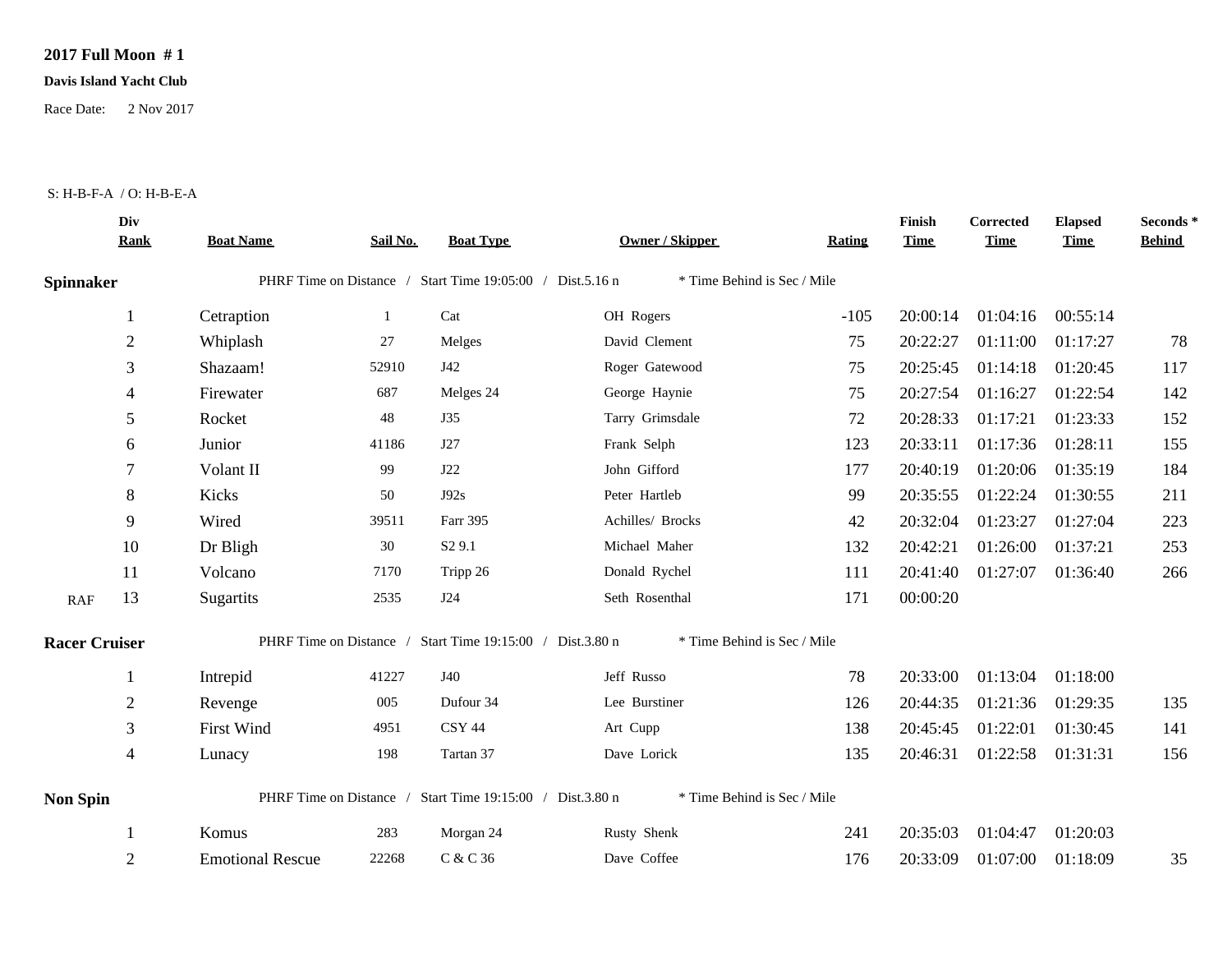## **2017 Full Moon # 1**

## **Davis Island Yacht Club**

Race Date: 2 Nov 2017

## S: H-B-F-A / O: H-B-E-A

| Div<br><b>Rank</b>   | <b>Boat Name</b>        | Sail No. | <b>Boat Type</b>   | <b>Owner / Skipper</b> | Rating                                                                                                                                                                              | Finish<br><b>Time</b>                                                                     | Corrected<br><b>Time</b> | <b>Elapsed</b><br><b>Time</b> | Seconds *<br><b>Behind</b> |
|----------------------|-------------------------|----------|--------------------|------------------------|-------------------------------------------------------------------------------------------------------------------------------------------------------------------------------------|-------------------------------------------------------------------------------------------|--------------------------|-------------------------------|----------------------------|
| <b>Spinnaker</b>     |                         |          |                    |                        |                                                                                                                                                                                     |                                                                                           |                          |                               |                            |
| 1                    | Cetraption              | 1        | Cat                | OH Rogers              | $-105$                                                                                                                                                                              | 20:00:14                                                                                  | 01:04:16                 | 00:55:14                      |                            |
| $\mathbf{2}$         | Whiplash                | 27       | Melges             | David Clement          | 75                                                                                                                                                                                  | 20:22:27                                                                                  | 01:11:00                 | 01:17:27                      | 78                         |
| 3                    | Shazaam!                | 52910    | J42                | Roger Gatewood         | 75                                                                                                                                                                                  | 20:25:45                                                                                  | 01:14:18                 | 01:20:45                      | 117                        |
| 4                    | Firewater               | 687      | Melges 24          | George Haynie          | 75                                                                                                                                                                                  | 20:27:54                                                                                  | 01:16:27                 | 01:22:54                      | 142                        |
| 5                    | Rocket                  | 48       | J35                | Tarry Grimsdale        | 72                                                                                                                                                                                  | 20:28:33                                                                                  | 01:17:21                 | 01:23:33                      | 152                        |
| 6                    | Junior                  | 41186    | J27                | Frank Selph            | 123                                                                                                                                                                                 | 20:33:11                                                                                  | 01:17:36                 | 01:28:11                      | 155                        |
| 7                    | Volant II               | 99       | <b>J22</b>         | John Gifford           | 177                                                                                                                                                                                 | 20:40:19                                                                                  | 01:20:06                 | 01:35:19                      | 184                        |
| 8                    | Kicks                   | 50       | J92s               | Peter Hartleb          | 99                                                                                                                                                                                  | 20:35:55                                                                                  | 01:22:24                 | 01:30:55                      | 211                        |
| 9                    | Wired                   | 39511    | Farr 395           | Achilles/ Brocks       | 42                                                                                                                                                                                  | 20:32:04                                                                                  | 01:23:27                 | 01:27:04                      | 223                        |
| 10                   | Dr Bligh                | 30       | S <sub>2</sub> 9.1 | Michael Maher          | 132                                                                                                                                                                                 | 20:42:21                                                                                  | 01:26:00                 | 01:37:21                      | 253                        |
| 11                   | Volcano                 | 7170     | Tripp 26           | Donald Rychel          | 111                                                                                                                                                                                 |                                                                                           | 01:27:07                 | 01:36:40                      | 266                        |
| 13                   | Sugartits               | 2535     | J24                | Seth Rosenthal         | 171                                                                                                                                                                                 | 00:00:20                                                                                  |                          |                               |                            |
| <b>Racer Cruiser</b> |                         |          |                    |                        |                                                                                                                                                                                     |                                                                                           |                          |                               |                            |
|                      | Intrepid                | 41227    | J40                | Jeff Russo             | 78                                                                                                                                                                                  |                                                                                           | 01:13:04                 | 01:18:00                      |                            |
| $\overline{2}$       | Revenge                 | 005      | Dufour 34          | Lee Burstiner          | 126                                                                                                                                                                                 | 20:44:35                                                                                  | 01:21:36                 | 01:29:35                      | 135                        |
| 3                    | First Wind              | 4951     | <b>CSY 44</b>      | Art Cupp               | 138                                                                                                                                                                                 | 20:45:45                                                                                  | 01:22:01                 | 01:30:45                      | 141                        |
| 4                    | Lunacy                  | 198      | Tartan 37          | Dave Lorick            | 135                                                                                                                                                                                 | 20:46:31                                                                                  | 01:22:58                 | 01:31:31                      | 156                        |
| <b>Non Spin</b>      |                         |          |                    |                        |                                                                                                                                                                                     |                                                                                           |                          |                               |                            |
|                      | Komus                   | 283      | Morgan 24          | Rusty Shenk            | 241                                                                                                                                                                                 | 20:35:03                                                                                  | 01:04:47                 | 01:20:03                      |                            |
| 2                    | <b>Emotional Rescue</b> | 22268    | C & C 36           | Dave Coffee            | 176                                                                                                                                                                                 | 20:33:09                                                                                  | 01:07:00                 | 01:18:09                      | 35                         |
|                      |                         |          |                    |                        | PHRF Time on Distance / Start Time 19:05:00 / Dist.5.16 n<br>PHRF Time on Distance / Start Time 19:15:00 / Dist.3.80 n<br>PHRF Time on Distance / Start Time 19:15:00 / Dist.3.80 n | * Time Behind is Sec / Mile<br>* Time Behind is Sec / Mile<br>* Time Behind is Sec / Mile | 20:41:40<br>20:33:00     |                               |                            |